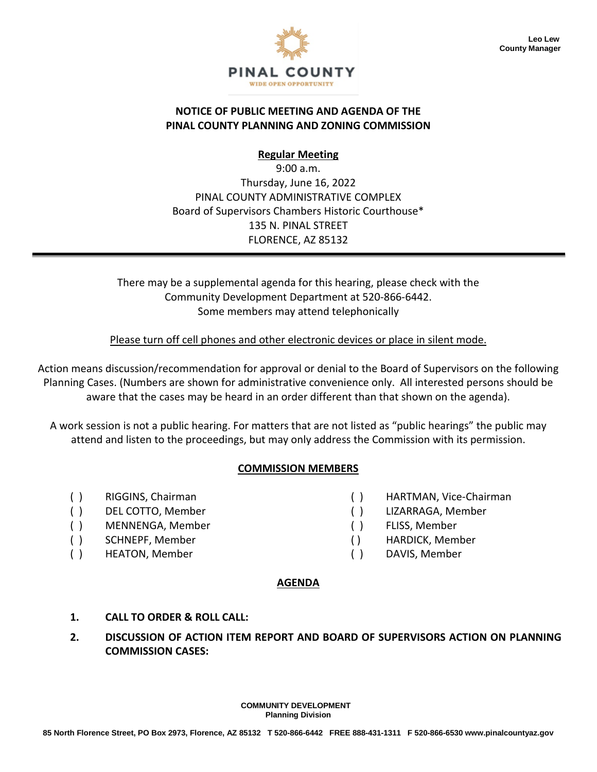

#### **NOTICE OF PUBLIC MEETING AND AGENDA OF THE PINAL COUNTY PLANNING AND ZONING COMMISSION**

**Regular Meeting**

9:00 a.m. Thursday, June 16, 2022 PINAL COUNTY ADMINISTRATIVE COMPLEX Board of Supervisors Chambers Historic Courthouse\* 135 N. PINAL STREET FLORENCE, AZ 85132

There may be a supplemental agenda for this hearing, please check with the Community Development Department at 520-866-6442. Some members may attend telephonically

Please turn off cell phones and other electronic devices or place in silent mode.

Action means discussion/recommendation for approval or denial to the Board of Supervisors on the following Planning Cases. (Numbers are shown for administrative convenience only. All interested persons should be aware that the cases may be heard in an order different than that shown on the agenda).

A work session is not a public hearing. For matters that are not listed as "public hearings" the public may attend and listen to the proceedings, but may only address the Commission with its permission.

# **COMMISSION MEMBERS**

- 
- 
- ( ) MENNENGA, Member ( ) FLISS, Member
- 
- ( ) HEATON, Member ( ) DAVIS, Member
- ( ) RIGGINS, Chairman ( ) HARTMAN, Vice-Chairman
- ( ) DEL COTTO, Member ( ) LIZARRAGA, Member
	-
- ( ) SCHNEPF, Member ( ) HARDICK, Member
	-

#### **AGENDA**

- **1. CALL TO ORDER & ROLL CALL:**
- **2. DISCUSSION OF ACTION ITEM REPORT AND BOARD OF SUPERVISORS ACTION ON PLANNING COMMISSION CASES:**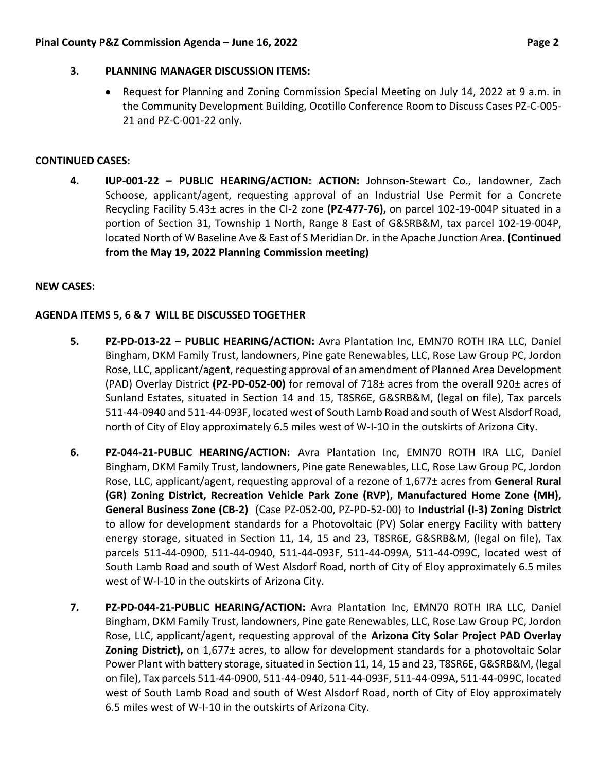#### **3. PLANNING MANAGER DISCUSSION ITEMS:**

• Request for Planning and Zoning Commission Special Meeting on July 14, 2022 at 9 a.m. in the Community Development Building, Ocotillo Conference Room to Discuss Cases PZ-C-005- 21 and PZ-C-001-22 only.

## **CONTINUED CASES:**

**4. IUP-001-22 – PUBLIC HEARING/ACTION: ACTION:** Johnson-Stewart Co., landowner, Zach Schoose, applicant/agent, requesting approval of an Industrial Use Permit for a Concrete Recycling Facility 5.43± acres in the CI-2 zone **(PZ-477-76),** on parcel 102-19-004P situated in a portion of Section 31, Township 1 North, Range 8 East of G&SRB&M, tax parcel 102-19-004P, located North of W Baseline Ave & East of S Meridian Dr. in the Apache Junction Area. **(Continued from the May 19, 2022 Planning Commission meeting)**

## **NEW CASES:**

## **AGENDA ITEMS 5, 6 & 7 WILL BE DISCUSSED TOGETHER**

- **5. PZ-PD-013-22 – PUBLIC HEARING/ACTION:** Avra Plantation Inc, EMN70 ROTH IRA LLC, Daniel Bingham, DKM Family Trust, landowners, Pine gate Renewables, LLC, Rose Law Group PC, Jordon Rose, LLC, applicant/agent, requesting approval of an amendment of Planned Area Development (PAD) Overlay District **(PZ-PD-052-00)** for removal of 718± acres from the overall 920± acres of Sunland Estates, situated in Section 14 and 15, T8SR6E, G&SRB&M, (legal on file), Tax parcels 511-44-0940 and 511-44-093F, located west of South Lamb Road and south of West Alsdorf Road, north of City of Eloy approximately 6.5 miles west of W-I-10 in the outskirts of Arizona City.
- **6. PZ-044-21-PUBLIC HEARING/ACTION:** Avra Plantation Inc, EMN70 ROTH IRA LLC, Daniel Bingham, DKM Family Trust, landowners, Pine gate Renewables, LLC, Rose Law Group PC, Jordon Rose, LLC, applicant/agent, requesting approval of a rezone of 1,677± acres from **General Rural (GR) Zoning District, Recreation Vehicle Park Zone (RVP), Manufactured Home Zone (MH), General Business Zone (CB-2)** (Case PZ-052-00, PZ-PD-52-00) to **Industrial (I-3) Zoning District** to allow for development standards for a Photovoltaic (PV) Solar energy Facility with battery energy storage, situated in Section 11, 14, 15 and 23, T8SR6E, G&SRB&M, (legal on file), Tax parcels 511-44-0900, 511-44-0940, 511-44-093F, 511-44-099A, 511-44-099C, located west of South Lamb Road and south of West Alsdorf Road, north of City of Eloy approximately 6.5 miles west of W-I-10 in the outskirts of Arizona City.
- **7. PZ-PD-044-21-PUBLIC HEARING/ACTION:** Avra Plantation Inc, EMN70 ROTH IRA LLC, Daniel Bingham, DKM Family Trust, landowners, Pine gate Renewables, LLC, Rose Law Group PC, Jordon Rose, LLC, applicant/agent, requesting approval of the **Arizona City Solar Project PAD Overlay Zoning District),** on 1,677± acres, to allow for development standards for a photovoltaic Solar Power Plant with battery storage, situated in Section 11, 14, 15 and 23, T8SR6E, G&SRB&M, (legal on file), Tax parcels 511-44-0900, 511-44-0940, 511-44-093F, 511-44-099A, 511-44-099C, located west of South Lamb Road and south of West Alsdorf Road, north of City of Eloy approximately 6.5 miles west of W-I-10 in the outskirts of Arizona City.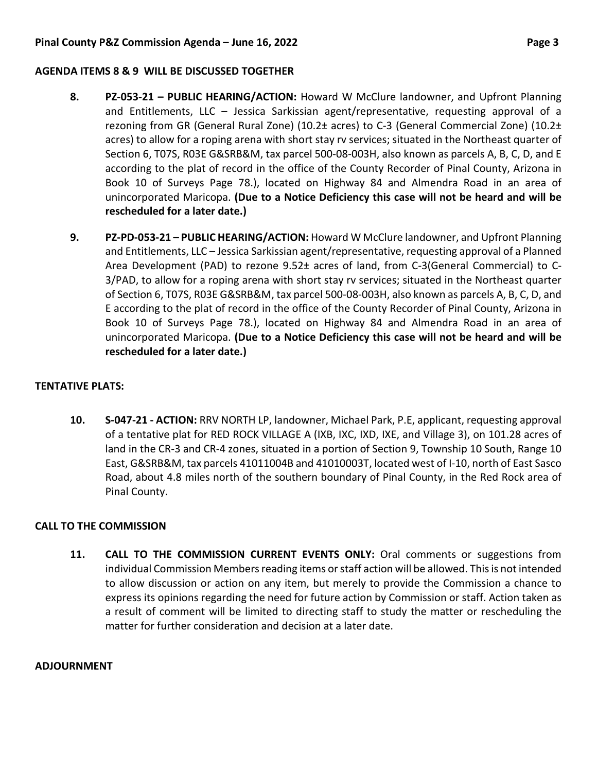#### **AGENDA ITEMS 8 & 9 WILL BE DISCUSSED TOGETHER**

- **8. PZ-053-21 – PUBLIC HEARING/ACTION:** Howard W McClure landowner, and Upfront Planning and Entitlements, LLC – Jessica Sarkissian agent/representative, requesting approval of a rezoning from GR (General Rural Zone) (10.2± acres) to C-3 (General Commercial Zone) (10.2± acres) to allow for a roping arena with short stay rv services; situated in the Northeast quarter of Section 6, T07S, R03E G&SRB&M, tax parcel 500-08-003H, also known as parcels A, B, C, D, and E according to the plat of record in the office of the County Recorder of Pinal County, Arizona in Book 10 of Surveys Page 78.), located on Highway 84 and Almendra Road in an area of unincorporated Maricopa. **(Due to a Notice Deficiency this case will not be heard and will be rescheduled for a later date.)**
- **9. PZ-PD-053-21 – PUBLIC HEARING/ACTION:** Howard W McClure landowner, and Upfront Planning and Entitlements, LLC – Jessica Sarkissian agent/representative, requesting approval of a Planned Area Development (PAD) to rezone 9.52± acres of land, from C-3(General Commercial) to C-3/PAD, to allow for a roping arena with short stay rv services; situated in the Northeast quarter of Section 6, T07S, R03E G&SRB&M, tax parcel 500-08-003H, also known as parcels A, B, C, D, and E according to the plat of record in the office of the County Recorder of Pinal County, Arizona in Book 10 of Surveys Page 78.), located on Highway 84 and Almendra Road in an area of unincorporated Maricopa. **(Due to a Notice Deficiency this case will not be heard and will be rescheduled for a later date.)**

## **TENTATIVE PLATS:**

**10. S-047-21 - ACTION:** RRV NORTH LP, landowner, Michael Park, P.E, applicant, requesting approval of a tentative plat for RED ROCK VILLAGE A (IXB, IXC, IXD, IXE, and Village 3), on 101.28 acres of land in the CR-3 and CR-4 zones, situated in a portion of Section 9, Township 10 South, Range 10 East, G&SRB&M, tax parcels 41011004B and 41010003T, located west of I-10, north of East Sasco Road, about 4.8 miles north of the southern boundary of Pinal County, in the Red Rock area of Pinal County.

# **CALL TO THE COMMISSION**

**11. CALL TO THE COMMISSION CURRENT EVENTS ONLY:** Oral comments or suggestions from individual Commission Members reading items or staff action will be allowed. This is not intended to allow discussion or action on any item, but merely to provide the Commission a chance to express its opinions regarding the need for future action by Commission or staff. Action taken as a result of comment will be limited to directing staff to study the matter or rescheduling the matter for further consideration and decision at a later date.

#### **ADJOURNMENT**